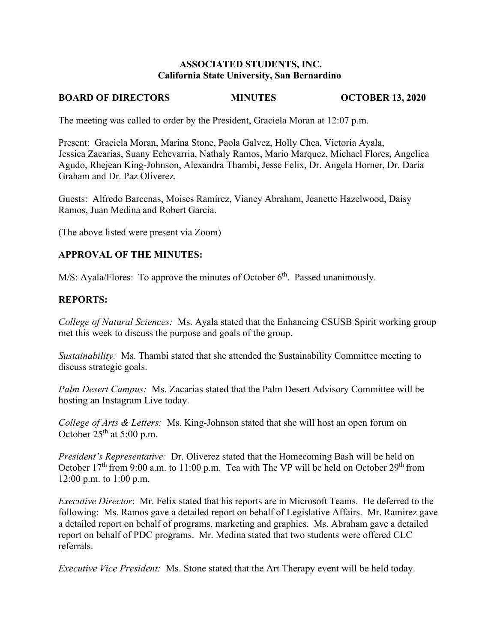### **ASSOCIATED STUDENTS, INC. California State University, San Bernardino**

# **BOARD OF DIRECTORS MINUTES OCTOBER 13, 2020**

The meeting was called to order by the President, Graciela Moran at 12:07 p.m.

Present: Graciela Moran, Marina Stone, Paola Galvez, Holly Chea, Victoria Ayala, Jessica Zacarias, Suany Echevarria, Nathaly Ramos, Mario Marquez, Michael Flores, Angelica Agudo, Rhejean King-Johnson, Alexandra Thambi, Jesse Felix, Dr. Angela Horner, Dr. Daria Graham and Dr. Paz Oliverez.

Guests: Alfredo Barcenas, Moises Ramírez, Vianey Abraham, Jeanette Hazelwood, Daisy Ramos, Juan Medina and Robert Garcia.

(The above listed were present via Zoom)

## **APPROVAL OF THE MINUTES:**

M/S: Ayala/Flores: To approve the minutes of October  $6<sup>th</sup>$ . Passed unanimously.

## **REPORTS:**

*College of Natural Sciences:* Ms. Ayala stated that the Enhancing CSUSB Spirit working group met this week to discuss the purpose and goals of the group.

*Sustainability:* Ms. Thambi stated that she attended the Sustainability Committee meeting to discuss strategic goals.

*Palm Desert Campus:* Ms. Zacarias stated that the Palm Desert Advisory Committee will be hosting an Instagram Live today.

*College of Arts & Letters:* Ms. King-Johnson stated that she will host an open forum on October  $25<sup>th</sup>$  at 5:00 p.m.

*President's Representative:* Dr. Oliverez stated that the Homecoming Bash will be held on October  $17<sup>th</sup>$  from 9:00 a.m. to 11:00 p.m. Tea with The VP will be held on October 29<sup>th</sup> from 12:00 p.m. to 1:00 p.m.

*Executive Director*: Mr. Felix stated that his reports are in Microsoft Teams. He deferred to the following: Ms. Ramos gave a detailed report on behalf of Legislative Affairs. Mr. Ramirez gave a detailed report on behalf of programs, marketing and graphics. Ms. Abraham gave a detailed report on behalf of PDC programs. Mr. Medina stated that two students were offered CLC referrals.

*Executive Vice President:* Ms. Stone stated that the Art Therapy event will be held today.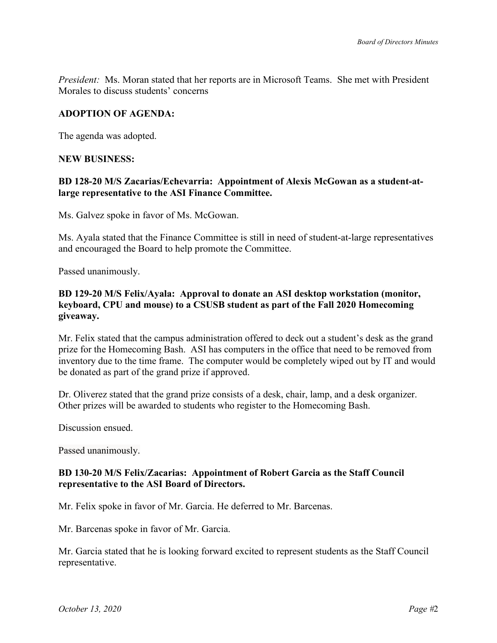*President:* Ms. Moran stated that her reports are in Microsoft Teams. She met with President Morales to discuss students' concerns

### **ADOPTION OF AGENDA:**

The agenda was adopted.

### **NEW BUSINESS:**

## **BD 128-20 M/S Zacarias/Echevarria: Appointment of Alexis McGowan as a student-atlarge representative to the ASI Finance Committee.**

Ms. Galvez spoke in favor of Ms. McGowan.

Ms. Ayala stated that the Finance Committee is still in need of student-at-large representatives and encouraged the Board to help promote the Committee.

Passed unanimously.

## **BD 129-20 M/S Felix/Ayala: Approval to donate an ASI desktop workstation (monitor, keyboard, CPU and mouse) to a CSUSB student as part of the Fall 2020 Homecoming giveaway.**

Mr. Felix stated that the campus administration offered to deck out a student's desk as the grand prize for the Homecoming Bash. ASI has computers in the office that need to be removed from inventory due to the time frame. The computer would be completely wiped out by IT and would be donated as part of the grand prize if approved.

Dr. Oliverez stated that the grand prize consists of a desk, chair, lamp, and a desk organizer. Other prizes will be awarded to students who register to the Homecoming Bash.

Discussion ensued.

Passed unanimously.

### **BD 130-20 M/S Felix/Zacarias: Appointment of Robert Garcia as the Staff Council representative to the ASI Board of Directors.**

Mr. Felix spoke in favor of Mr. Garcia. He deferred to Mr. Barcenas.

Mr. Barcenas spoke in favor of Mr. Garcia.

Mr. Garcia stated that he is looking forward excited to represent students as the Staff Council representative.